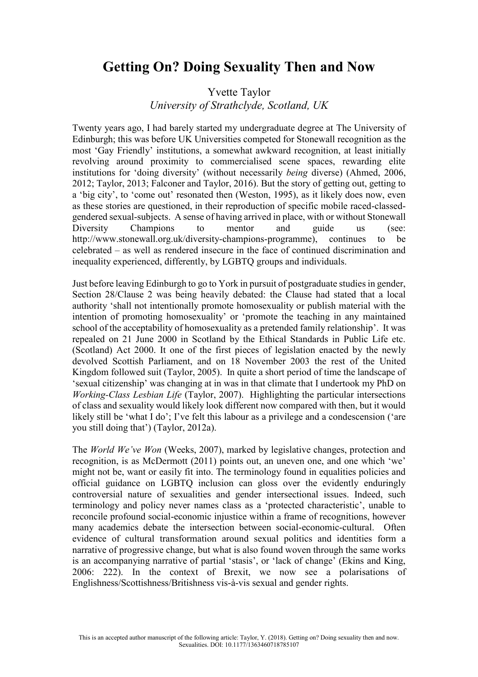## **Getting On? Doing Sexuality Then and Now**

## Yvette Taylor *University of Strathclyde, Scotland, UK*

Twenty years ago, I had barely started my undergraduate degree at The University of Edinburgh; this was before UK Universities competed for Stonewall recognition as the most 'Gay Friendly' institutions, a somewhat awkward recognition, at least initially revolving around proximity to commercialised scene spaces, rewarding elite institutions for 'doing diversity' (without necessarily *being* diverse) (Ahmed, 2006, 2012; Taylor, 2013; Falconer and Taylor, 2016). But the story of getting out, getting to a 'big city', to 'come out' resonated then (Weston, 1995), as it likely does now, even as these stories are questioned, in their reproduction of specific mobile raced-classedgendered sexual-subjects. A sense of having arrived in place, with or without Stonewall Diversity Champions to mentor and guide us (see: http://www.stonewall.org.uk/diversity-champions-programme), continues to be celebrated – as well as rendered insecure in the face of continued discrimination and inequality experienced, differently, by LGBTQ groups and individuals.

Just before leaving Edinburgh to go to York in pursuit of postgraduate studies in gender, Section 28/Clause 2 was being heavily debated: the Clause had stated that a [local](https://en.wikipedia.org/wiki/Local_government_in_the_United_Kingdom)  [authority](https://en.wikipedia.org/wiki/Local_government_in_the_United_Kingdom) 'shall not intentionally promote homosexuality or publish material with the intention of promoting homosexuality' or 'promote the teaching in any [maintained](https://en.wikipedia.org/wiki/Maintained_school)  [school](https://en.wikipedia.org/wiki/Maintained_school) of the acceptability of homosexuality as a pretended family relationship'. It was repealed on 21 June 2000 in Scotland by the [Ethical Standards in Public Life etc.](https://en.wikipedia.org/wiki/Ethical_Standards_in_Public_Life_etc._(Scotland)_Act_2000)  [\(Scotland\) Act 2000.](https://en.wikipedia.org/wiki/Ethical_Standards_in_Public_Life_etc._(Scotland)_Act_2000) It one of the first pieces of legislation enacted by the newly devolved [Scottish Parliament,](https://en.wikipedia.org/wiki/Scottish_Parliament) and on 18 November 2003 the rest of the United Kingdom followed suit (Taylor, 2005). In quite a short period of time the landscape of 'sexual citizenship' was changing at in was in that climate that I undertook my PhD on *Working-Class Lesbian Life* (Taylor, 2007). Highlighting the particular intersections of class and sexuality would likely look different now compared with then, but it would likely still be 'what I do'; I've felt this labour as a privilege and a condescension ('are you still doing that') (Taylor, 2012a).

The *World We've Won* (Weeks, 2007), marked by legislative changes, protection and recognition, is as McDermott (2011) points out, an uneven one, and one which 'we' might not be, want or easily fit into. The terminology found in equalities policies and official guidance on LGBTQ inclusion can gloss over the evidently enduringly controversial nature of sexualities and gender intersectional issues. Indeed, such terminology and policy never names class as a 'protected characteristic', unable to reconcile profound social-economic injustice within a frame of recognitions, however many academics debate the intersection between social-economic-cultural. Often evidence of cultural transformation around sexual politics and identities form a narrative of progressive change, but what is also found woven through the same works is an accompanying narrative of partial 'stasis', or 'lack of change' (Ekins and King, 2006: 222). In the context of Brexit, we now see a polarisations of Englishness/Scottishness/Britishness vis-à-vis sexual and gender rights.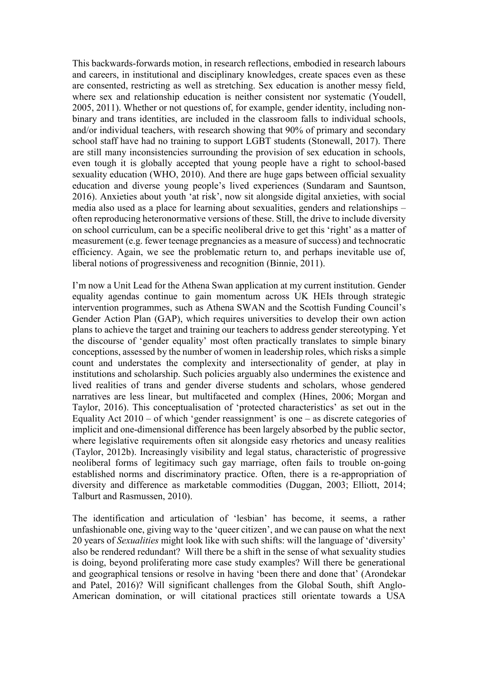This backwards-forwards motion, in research reflections, embodied in research labours and careers, in institutional and disciplinary knowledges, create spaces even as these are consented, restricting as well as stretching. Sex education is another messy field, where sex and relationship education is neither consistent nor systematic (Youdell, 2005, 2011). Whether or not questions of, for example, gender identity, including nonbinary and trans identities, are included in the classroom falls to individual schools, and/or individual teachers, with research showing that 90% of primary and secondary school staff have had no training to support LGBT students (Stonewall, 2017). There are still many inconsistencies surrounding the provision of sex education in schools, even tough it is globally accepted that young people have a right to school-based sexuality education (WHO, 2010). And there are huge gaps between official sexuality education and diverse young people's lived experiences (Sundaram and Sauntson, 2016). Anxieties about youth 'at risk', now sit alongside digital anxieties, with social media also used as a place for learning about sexualities, genders and relationships – often reproducing heteronormative versions of these. Still, the drive to include diversity on school curriculum, can be a specific neoliberal drive to get this 'right' as a matter of measurement (e.g. fewer teenage pregnancies as a measure of success) and technocratic efficiency. Again, we see the problematic return to, and perhaps inevitable use of, liberal notions of progressiveness and recognition (Binnie, 2011).

I'm now a Unit Lead for the Athena Swan application at my current institution. Gender equality agendas continue to gain momentum across UK HEIs through strategic intervention programmes, such as Athena SWAN and the Scottish Funding Council's Gender Action Plan (GAP), which requires universities to develop their own action plans to achieve the target and training our teachers to address gender stereotyping. Yet the discourse of 'gender equality' most often practically translates to simple binary conceptions, assessed by the number of women in leadership roles, which risks a simple count and understates the complexity and intersectionality of gender, at play in institutions and scholarship. Such policies arguably also undermines the existence and lived realities of trans and gender diverse students and scholars, whose gendered narratives are less linear, but multifaceted and complex (Hines, 2006; Morgan and Taylor, 2016). This conceptualisation of 'protected characteristics' as set out in the Equality Act 2010 – of which 'gender reassignment' is one – as discrete categories of implicit and one-dimensional difference has been largely absorbed by the public sector, where legislative requirements often sit alongside easy rhetorics and uneasy realities (Taylor, 2012b). Increasingly visibility and legal status, characteristic of progressive neoliberal forms of legitimacy such gay marriage, often fails to trouble on-going established norms and discriminatory practice. Often, there is a re-appropriation of diversity and difference as marketable commodities (Duggan, 2003; Elliott, 2014; Talburt and Rasmussen, 2010).

The identification and articulation of 'lesbian' has become, it seems, a rather unfashionable one, giving way to the 'queer citizen', and we can pause on what the next 20 years of *Sexualities* might look like with such shifts: will the language of 'diversity' also be rendered redundant? Will there be a shift in the sense of what sexuality studies is doing, beyond proliferating more case study examples? Will there be generational and geographical tensions or resolve in having 'been there and done that' (Arondekar and Patel, 2016)? Will significant challenges from the Global South, shift Anglo-American domination, or will citational practices still orientate towards a USA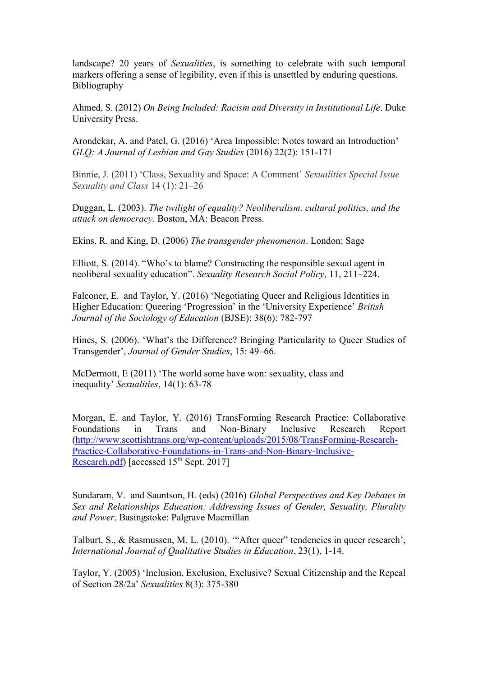landscape? 20 years of *Sexualities*, is something to celebrate with such temporal markers offering a sense of legibility, even if this is unsettled by enduring questions. Bibliography

Ahmed, S. (2012) *On Being Included: Racism and Diversity in Institutional Life*. Duke University Press.

Arondekar, A. and Patel, G. (2016) 'Area Impossible: Notes toward an Introduction' *GLQ: A Journal of Lesbian and Gay Studies* (2016) 22(2): 151-171

Binnie, J. (2011) 'Class, Sexuality and Space: A Comment' *Sexualities Special Issue Sexuality and Class* 14 (1): 21–26

Duggan, L. (2003). *The twilight of equality? Neoliberalism, cultural politics, and the attack on democracy*. Boston, MA: Beacon Press.

Ekins, R. and King, D. (2006) *The transgender phenomenon*. London: Sage

Elliott, S. (2014). "Who's to blame? Constructing the responsible sexual agent in neoliberal sexuality education". *Sexuality Research Social Policy*, 11, 211–224.

Falconer, E. and Taylor, Y. (2016) 'Negotiating Queer and Religious Identities in Higher Education: Queering 'Progression' in the 'University Experience' *British Journal of the Sociology of Education* (BJSE): 38(6): 782-797

Hines, S. (2006). 'What's the Difference? Bringing Particularity to Queer Studies of Transgender', *Journal of Gender Studies*, 15: 49–66.

[McDermott,](http://www.research.lancs.ac.uk/portal/en/people/elizabeth-mcdermott(d6e97493-0279-4912-be98-060acf575fb5).html) E (2011) 'The world some have won: [sexuality,](http://www.research.lancs.ac.uk/portal/en/publications/the-world-some-have-won(971a4665-c856-4e00-8d6c-ff9ef4b7947b).html) class and [inequality](http://www.research.lancs.ac.uk/portal/en/publications/the-world-some-have-won(971a4665-c856-4e00-8d6c-ff9ef4b7947b).html)' *Sexualities*, 14(1): 63-78

Morgan, E. and Taylor, Y. (2016) TransForming Research Practice: Collaborative Foundations in Trans and Non-Binary Inclusive Research Report [\(http://www.scottishtrans.org/wp-content/uploads/2015/08/TransForming-Research-](http://www.scottishtrans.org/wp-content/uploads/2015/08/TransForming-Research-Practice-Collaborative-Foundations-in-Trans-and-Non-Binary-Inclusive-Research.pdf)[Practice-Collaborative-Foundations-in-Trans-and-Non-Binary-Inclusive-](http://www.scottishtrans.org/wp-content/uploads/2015/08/TransForming-Research-Practice-Collaborative-Foundations-in-Trans-and-Non-Binary-Inclusive-Research.pdf)[Research.pdf\)](http://www.scottishtrans.org/wp-content/uploads/2015/08/TransForming-Research-Practice-Collaborative-Foundations-in-Trans-and-Non-Binary-Inclusive-Research.pdf) [accessed 15<sup>th</sup> Sept. 2017]

Sundaram, V. and Sauntson, H. (eds) (2016) *Global Perspectives and Key Debates in Sex and Relationships Education: Addressing Issues of Gender, Sexuality, Plurality and Power*. Basingstoke: Palgrave Macmillan

Talburt, S., & Rasmussen, M. L. (2010). '"After queer" tendencies in queer research', *International Journal of Qualitative Studies in Education*, 23(1), 1-14.

Taylor, Y. (2005) 'Inclusion, Exclusion, Exclusive? Sexual Citizenship and the Repeal of Section 28/2a' *Sexualities* 8(3): 375-380